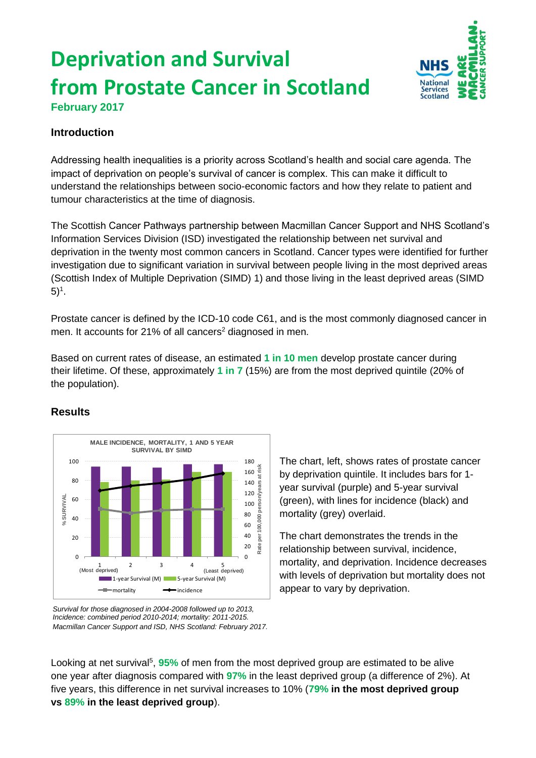# **Deprivation and Survival from Prostate Cancer in Scotland**



**February 2017**

## **Introduction**

Addressing health inequalities is a priority across Scotland's health and social care agenda. The impact of deprivation on people's survival of cancer is complex. This can make it difficult to understand the relationships between socio-economic factors and how they relate to patient and tumour characteristics at the time of diagnosis.

The Scottish Cancer Pathways partnership between Macmillan Cancer Support and NHS Scotland's Information Services Division (ISD) investigated the relationship between net survival and deprivation in the twenty most common cancers in Scotland. Cancer types were identified for further investigation due to significant variation in survival between people living in the most deprived areas (Scottish Index of Multiple Deprivation (SIMD) 1) and those living in the least deprived areas (SIMD  $5)^{1}$ .

Prostate cancer is defined by the ICD-10 code C61, and is the most commonly diagnosed cancer in men. It accounts for 21% of all cancers<sup>2</sup> diagnosed in men.

Based on current rates of disease, an estimated **1 in 10 men** develop prostate cancer during their lifetime. Of these, approximately **1 in 7** (15%) are from the most deprived quintile (20% of the population).



### **Results**

*Survival for those diagnosed in 2004-2008 followed up to 2013, Incidence: combined period 2010-2014; mortality: 2011-2015. Macmillan Cancer Support and ISD, NHS Scotland: February 2017.* The chart, left, shows rates of prostate cancer by deprivation quintile. It includes bars for 1 year survival (purple) and 5-year survival (green), with lines for incidence (black) and mortality (grey) overlaid.

The chart demonstrates the trends in the relationship between survival, incidence, mortality, and deprivation. Incidence decreases with levels of deprivation but mortality does not appear to vary by deprivation.

Looking at net survival<sup>5</sup>, 95% of men from the most deprived group are estimated to be alive one year after diagnosis compared with **97%** in the least deprived group (a difference of 2%). At five years, this difference in net survival increases to 10% (**79% in the most deprived group vs 89% in the least deprived group**).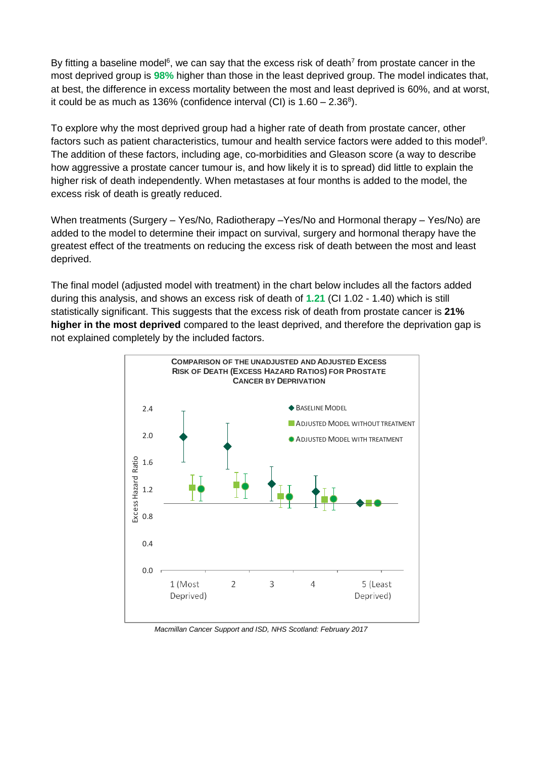By fitting a baseline model<sup>6</sup>, we can say that the excess risk of death<sup>7</sup> from prostate cancer in the most deprived group is **98%** higher than those in the least deprived group. The model indicates that, at best, the difference in excess mortality between the most and least deprived is 60%, and at worst, it could be as much as 136% (confidence interval (CI) is  $1.60 - 2.36^8$ ).

To explore why the most deprived group had a higher rate of death from prostate cancer, other factors such as patient characteristics, tumour and health service factors were added to this model<sup>9</sup>. The addition of these factors, including age, co-morbidities and Gleason score (a way to describe how aggressive a prostate cancer tumour is, and how likely it is to spread) did little to explain the higher risk of death independently. When metastases at four months is added to the model, the excess risk of death is greatly reduced.

When treatments (Surgery – Yes/No, Radiotherapy –Yes/No and Hormonal therapy – Yes/No) are added to the model to determine their impact on survival, surgery and hormonal therapy have the greatest effect of the treatments on reducing the excess risk of death between the most and least deprived.

The final model (adjusted model with treatment) in the chart below includes all the factors added during this analysis, and shows an excess risk of death of **1.21** (CI 1.02 - 1.40) which is still statistically significant. This suggests that the excess risk of death from prostate cancer is **21% higher in the most deprived** compared to the least deprived, and therefore the deprivation gap is not explained completely by the included factors.



*Macmillan Cancer Support and ISD, NHS Scotland: February 2017*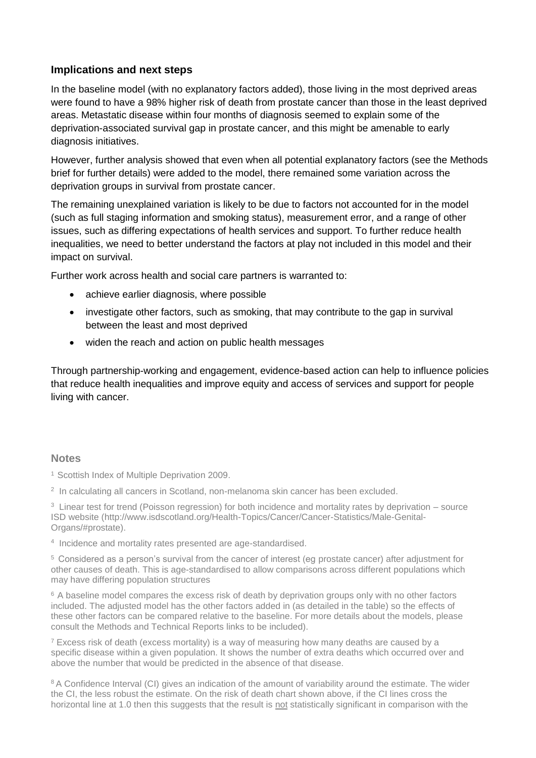#### **Implications and next steps**

In the baseline model (with no explanatory factors added), those living in the most deprived areas were found to have a 98% higher risk of death from prostate cancer than those in the least deprived areas. Metastatic disease within four months of diagnosis seemed to explain some of the deprivation-associated survival gap in prostate cancer, and this might be amenable to early diagnosis initiatives.

However, further analysis showed that even when all potential explanatory factors (see the Methods brief for further details) were added to the model, there remained some variation across the deprivation groups in survival from prostate cancer.

The remaining unexplained variation is likely to be due to factors not accounted for in the model (such as full staging information and smoking status), measurement error, and a range of other issues, such as differing expectations of health services and support. To further reduce health inequalities, we need to better understand the factors at play not included in this model and their impact on survival.

Further work across health and social care partners is warranted to:

- achieve earlier diagnosis, where possible
- investigate other factors, such as smoking, that may contribute to the gap in survival between the least and most deprived
- widen the reach and action on public health messages

Through partnership-working and engagement, evidence-based action can help to influence policies that reduce health inequalities and improve equity and access of services and support for people living with cancer.

#### **Notes**

<sup>1</sup> Scottish Index of Multiple Deprivation 2009.

2 In calculating all cancers in Scotland, non-melanoma skin cancer has been excluded.

<sup>3</sup> Linear test for trend (Poisson regression) for both incidence and mortality rates by deprivation – source ISD website (http://www.isdscotland.org/Health-Topics/Cancer/Cancer-Statistics/Male-Genital-Organs/#prostate).

4 Incidence and mortality rates presented are age-standardised.

<sup>5</sup> Considered as a person's survival from the cancer of interest (eg prostate cancer) after adjustment for other causes of death. This is age-standardised to allow comparisons across different populations which may have differing population structures

<sup>6</sup> A baseline model compares the excess risk of death by deprivation groups only with no other factors included. The adjusted model has the other factors added in (as detailed in the table) so the effects of these other factors can be compared relative to the baseline. For more details about the models, please consult the Methods and Technical Reports links to be included).

 $<sup>7</sup>$  Excess risk of death (excess mortality) is a way of measuring how many deaths are caused by a</sup> specific disease within a given population. It shows the number of extra deaths which occurred over and above the number that would be predicted in the absence of that disease.

<sup>8</sup> A Confidence Interval (CI) gives an indication of the amount of variability around the estimate. The wider the CI, the less robust the estimate. On the risk of death chart shown above, if the CI lines cross the horizontal line at 1.0 then this suggests that the result is not statistically significant in comparison with the